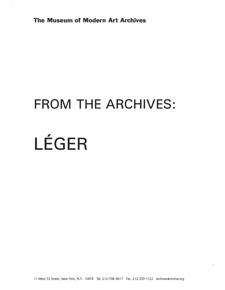The Museum of Modern Art Archives

# FROM THE ARCHIVES:

# **I** LEGER

11 West 53 Street, New York, N.Y. 10019 Tel: 212-708-9617 Fax: 212-333-1122 archives@moma.org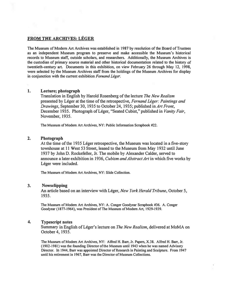# FROM THE ARCHIVES: LÉGER

The Museum of Modem Art Archives was established in 1987 by resolution of the Board of Trustees as an independent Museum program to preserve and make accessible the Museum's historical records to Museum staff, outside scholars, and researchers. Additionally, the Museum Archives is the custodian of primary source material and other historical documentation related to the history of twentieth-century art. Documents in this exhibition, on view February 26 through May 12, 1998, were selected by the Museum Archives staff from the holdings of the Museum Archives for display in conjunction with the current exhibition Fernand Léger.

#### 1. Lecture; photograph

Translation in English by Harold Rosenberg of the lecture The New Realism presented by Leger at the time of the retrospective, Fernand Leger: Paintings and Drawings, September 30, 1935 to October 24, 1935; published in Art Front, December 1935. Photograph of Léger, "Seated Cubist," published in Vanity Fair, November, 1935.

The Museum of Modem Art Archives, NY: Public Information Scrapbook #22.

## 2. Photograph

At the time of the 1935 Leger retrospective, the Museum was located in a five-story townhouse at 11 West 53 Street, leased to the Museum from May 1932 until June 1937 by John D. Rockefeller, Jr. The mobile by Alexander Calder, served to announce a later exhibition in 1936, Cubism and Abstract Art in which five works by Léger were included.

The Museum of Modem Art Archives, NY: Slide Collection.

#### 3. Newsclipping

An article based on an interview with Léger, New York Herald Tribune, October 5, 1935.

The Museum of Modem Art Archives, NY: A. Conger Goodyear Scrapbook #36. A. Conger Goodyear (1877-1964), was President of The Museum of Modem Art, 1929-1939.

#### 4. Typescript notes

Summary in English of Leger's lecture on The New Realism, delivered at MoMA on October 4, 1935.

The Museum of Modem Art Archives, NY: Alfred H. Barr, Jr. Papers, X.38. Alfred H. Barr, Jr. (1902-1981) was the founding Director ofthe Museum until 1943 when he was named Advisory Director. In 1944, Barr was appointed Director of Research in Painting and Sculpture. From 1947 until his retirement in 1967, Barr was the Director of Museum Collections.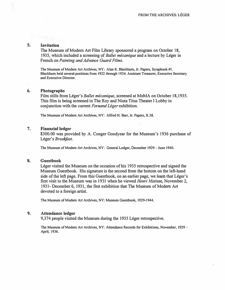# 5. Invitation

The Museum of Modern Art Film Library sponsored a program on October 18, 1935, which included a screening of Ballet mécanique and a lecture by Léger in French on Painting and Advance Guard Films.

The Museum of Modem Art Archives, NY: Alan R. Blackbum, Jr. Papers, Scrapbook #I. Blackbum held several positions from 1932 through 1934: Assistant Treasurer, Executive Secretary and Executive Director.

#### 6. Photographs

Film stills from Léger's *Ballet mécanique*, screened at MoMA on October 18,1935. This film is being screened in The Roy and Niuta Titus Theater I Lobby in conjunction with the current Fernand Léger exhibition.

The Museum of Modem Art Archives, NY: Alfred H. Barr, Jr. Papers, X.38.

#### 7. Financial ledger

\$300.00 was provided by A. Conger Goodyear for the Museum's 1936 purchase of Léger's Breakfast.

The Museum of Modern Art Archives, NY: General Ledger, December 1929 - June 1940.

#### 8. Guestbook

Léger visited the Museum on the occasion of his 1935 retrospective and signed the Museum Guestbook. His signature is the second from the bottom on the left-hand side of the left page. From this Guestbook, on an earlier page, we learn that Léger's first visit to the Museum was in 1931 when he viewed Henri Matisse, November 2, 1931- December 6, 1931, the first exhibition that The Museum of Modern Art devoted to a foreign artist.

The Museum of Modem Art Archives, NY: Museum Guestbook, 1929-1944.

#### 9. Attendance ledger

9,374 people visited the Museum during the 1935 Léger retrospective.

The Museum of Modem Art Archives, NY: Attendance Records for Exhibitions, November, 1929- April, 1936.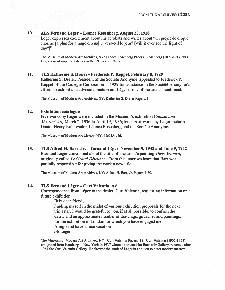# 10. ALS Fernand Léger – Léonce Rosenberg, August 23, 1918

Léger expresses excitement about his acrobats and writes about "un projet de cirque enorme [a plan for a huge circus] ... vera-t-il le jour? [will it ever see the light of day?]''.

The Museum of Modem Art Archives, NY: Leonce Rosenberg Papers. Rosenberg (1879-1947) was Léger's most important dealer in the 1910s and 1920s.

#### 11. TLS Katherine S. Dreier- Frederick P. Keppel, February 8, 1929

Katherine S. Dreier, President of the Societe Anonyme, appealed to Frederick P. Keppel of the Carnegie Corporation in 1929 for assistance in the Societe Anonyme's efforts to exhibit and advocate modern art; Léger is one of the artists mentioned.

The Museum of Modem Art Archives, NY: Katherine S. Dreier Papers, I.

## 12. Exhibition catalogue

Five works by Léger were included in the Museum's exhibition Cubism and Abstract Art, March 2, 1936 to April 19, 1936; lenders of works by Léger included Daniel-Henry Kahnweiler, Léonce Rosenberg and the Société Anonyme.

The Museum of Modem Art Library, NY: MoMA #46.

13. TLS Alfred H. Barr, Jr. - Fernand Leger, November 9, 1942 and June 9, 1942 Barr and Léger correspond about the title of the artist's painting Three Women, originally called Le Grand Déjeuner. From this letter we learn that Barr was partially responsible for giving the work a new title.

The Museum of Modem Art Archives, NY: Alfred H. Barr, Jr. Papers, 1.50.

# 14. TLS Fernand Léger – Curt Valentin, n.d.

Correspondence from Léger to the dealer, Curt Valentin, requesting information on a future exhibition:

"My dear friend, Finding myself in the midst of various exhibition proposals for the next trimester, I would be grateful to you, if at all possible, to confirm the dates, and an approximate number of drawings, gouaches and paintings, for the exhibition in London for which you have engaged me. Amigo and have a nice vacation /S/Léger".

The Museum of Modem Art Archives, NY: Curt Valentin Papers, 18. Curt Valentin (1902-1954), emigrated from Hamburg to New York in 1937 where he opened the Buchholz Gallery, renamed after 1951 the Curt Valentin Gallery. He showed the work of Leger in addition to other modem masters.